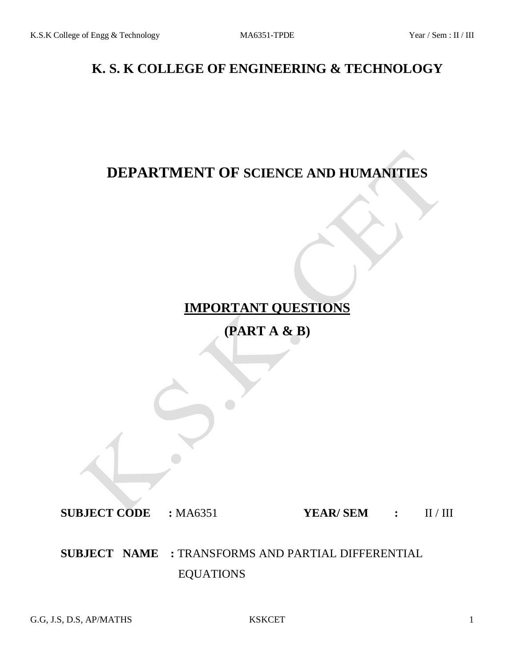# **K. S. K COLLEGE OF ENGINEERING & TECHNOLOGY**

# **DEPARTMENT OF SCIENCE AND HUMANITIES**

# **IMPORTANT QUESTIONS**

**(PART A & B)**

**SUBJECT CODE :** MA6351 **YEAR/ SEM :** II / III

**SUBJECT NAME :** TRANSFORMS AND PARTIAL DIFFERENTIAL EQUATIONS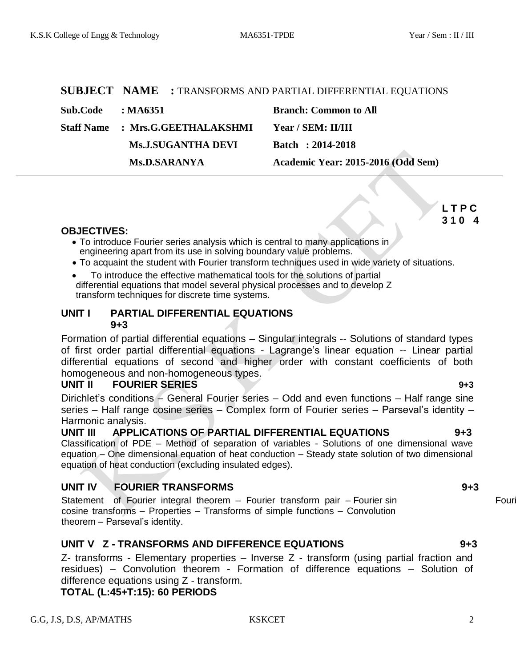|          |                                         | <b>SUBJECT NAME : TRANSFORMS AND PARTIAL DIFFERENTIAL EQUATIONS</b> |
|----------|-----------------------------------------|---------------------------------------------------------------------|
| Sub.Code | $\cdot$ MA6351                          | <b>Branch: Common to All</b>                                        |
|          | <b>Staff Name : Mrs.G.GEETHALAKSHMI</b> | Year / SEM: II/III                                                  |
|          | <b>Ms.J.SUGANTHA DEVI</b>               | Batch: 2014-2018                                                    |
|          | <b>Ms.D.SARANYA</b>                     | Academic Year: 2015-2016 (Odd Sem)                                  |
|          |                                         |                                                                     |

**L T P C 3 1 0 4**

### **OBJECTIVES:**

- To introduce Fourier series analysis which is central to many applications in engineering apart from its use in solving boundary value problems.
- To acquaint the student with Fourier transform techniques used in wide variety of situations.
- To introduce the effective mathematical tools for the solutions of partial differential equations that model several physical processes and to develop Z transform techniques for discrete time systems.

### **UNIT I PARTIAL DIFFERENTIAL EQUATIONS 9+3**

Formation of partial differential equations – Singular integrals -- Solutions of standard types of first order partial differential equations - Lagrange's linear equation -- Linear partial differential equations of second and higher order with constant coefficients of both homogeneous and non-homogeneous types.

### **UNIT II FOURIER SERIES 9+3**

Dirichlet's conditions – General Fourier series – Odd and even functions – Half range sine series – Half range cosine series – Complex form of Fourier series – Parseval's identity – Harmonic analysis.

**UNIT III APPLICATIONS OF PARTIAL DIFFERENTIAL EQUATIONS 9+3** Classification of PDE – Method of separation of variables - Solutions of one dimensional wave equation – One dimensional equation of heat conduction – Steady state solution of two dimensional equation of heat conduction (excluding insulated edges).

### **UNIT IV FOURIER TRANSFORMS 9+3**

Statement of Fourier integral theorem – Fourier transform pair – Fourier sin Four cosine transforms – Properties – Transforms of simple functions – Convolution theorem – Parseval's identity.

### **UNIT V Z - TRANSFORMS AND DIFFERENCE EQUATIONS 9+3**

Z- transforms - Elementary properties – Inverse Z - transform (using partial fraction and residues) – Convolution theorem - Formation of difference equations – Solution of difference equations using Z - transform.

**TOTAL (L:45+T:15): 60 PERIODS**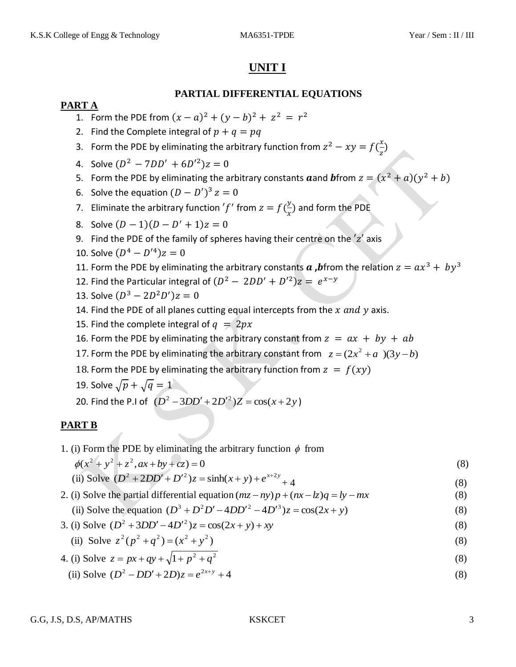## **UNIT I**

### **PARTIAL DIFFERENTIAL EQUATIONS**

### **PART A**

- 1. Form the PDE from  $(x a)^2 + (y b)^2 + z^2 = r^2$
- 2. Find the Complete integral of  $p + q = pq$
- 3. Form the PDE by eliminating the arbitrary function from  $z^2 xy = f(\frac{x}{x})$  $\frac{x}{z}$
- 4. Solve  $(D^2 7DD' + 6D'^2)$
- 5. Form the PDE by eliminating the arbitrary constants  $\boldsymbol{a}$  and  $\boldsymbol{b}$  from  $z = (x^2 + a)(y^2)$
- 6. Solve the equation  $(D D')^3$
- 7. Eliminate the arbitrary function 'f' from  $z = f(\frac{y}{x})$  $\frac{y}{x}$ ) and form the PDE
- 8. Solve  $(D 1)(D D)$
- 9. Find the PDE of the family of spheres having their centre on the  $z'$  axis
- 10. Solve  $(D^4 D'^4)$
- 11. Form the PDE by eliminating the arbitrary constants **a** , bifrom the relation  $z = ax^3 + by^3$
- 12. Find the Particular integral of  $(D^2 2DD' + D'^2)z = e^x$
- 13. Solve  $(D^3 2D^2D')$
- 14. Find the PDE of all planes cutting equal intercepts from the  $x$  and  $y$  axis.
- 15. Find the complete integral of  $q = 2px$
- 16. Form the PDE by eliminating the arbitrary constant from  $z = ax + by + ab$
- 17. Form the PDE by eliminating the arbitrary constant from  $z = (2x^2 + a)(3y b)$
- 18. Form the PDE by eliminating the arbitrary function from  $z = f(xy)$
- 19. Solve  $\sqrt{p} + \sqrt{q} = 1$
- 20. Find the P.I of  $(D^2 3DD' + 2D'^2)Z = cos(x + 2y)$

### **PART B**

1. (i) Form the PDE by eliminating the arbitrary function  $\phi$  from

 $\phi(x^2 + y^2 + z^2, ax + by + cz) = 0$  (8)

(ii) Solve 
$$
(D^2 + 2DD' + D'^2)z = \sinh(x + y) + e^{x+2y} + 4
$$
 (8)

- 2. (i) Solve the partial differential equation  $(mz ny)p + (nx kz)q = ly mx$ (8)
	- (ii) Solve the equation  $(D^3 + D^2D' 4DD'^2 4D'^3)z = cos(2x + y)$ (8)
- 3. (i) Solve  $(D^2 + 3DD' 4D'^2)z = cos(2x + y) + xy$ (8)

(ii) Solve 
$$
z^2(p^2 + q^2) = (x^2 + y^2)
$$
 (8)

4. (i) Solve 
$$
z = px + qy + \sqrt{1 + p^2 + q^2}
$$
 (8)

(ii) Solve  $(D^2 - DD' + 2D)z = e^{2x+y} + 4$ (8)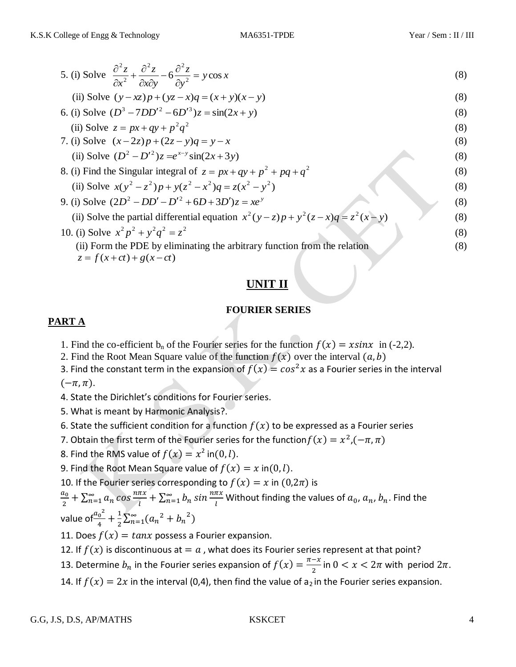5. (i) Solve 
$$
\frac{\partial^2 z}{\partial x^2} + \frac{\partial^2 z}{\partial x \partial y} - 6 \frac{\partial^2 z}{\partial y^2} = y \cos x
$$
 (8)

(ii) Solve 
$$
(y - xz)p + (yz - x)q = (x + y)(x - y)
$$
 (8)

6. (i) Solve 
$$
(D^3 - 7DD'^2 - 6D'^3)z = \sin(2x + y)
$$
  
\n(ii) Solve  $z = px + qy + p^2q^2$  (8)

7. (i) Solve 
$$
(x-2z)p+(2z-y)q = y-x
$$
 (8)

(ii) Solve 
$$
(D^2 - D'^2)z = e^{x-y} \sin(2x+3y)
$$
 (8)

8. (i) Find the Singular integral of 
$$
z = px + qy + p^2 + pq + q^2
$$
  
\n(ii) Solve  $x(y^2 - z^2)p + y(z^2 - x^2)q = z(x^2 - y^2)$  (8)

\n- 9. (i) Solve 
$$
(2D^2 - DD' - D'^2 + 6D + 3D')z = xe^y
$$
\n- (ii) Solve the partial differential equation  $x^2(y-z)p + y^2(z-x)q = z^2(x-y)$
\n- (b) Solve  $x^2p^2 + y^2q^2 = z^2$
\n- (c) Solve  $x^2p^2 + y^2q^2 = z^2$
\n- (d) Form the PDE by eliminating the arbitrary function from the relation
\n- (e) The equation  $x^2(y-z)p + y^2(z-x)q = z^2(z-y)$
\n- (f) Show that  $y^2 = 2z^2$
\n- (g) Show that  $y = 2z^2$
\n- (h) Show that  $y = 2z^2$
\n- (i) For  $z = 2z^2$
\n- (j) For  $z = 2z^2$
\n- (k) For  $z = 2z^2$
\n- (l) For  $z = 2z^2$
\n- (m) For  $z = 2z^2$
\n- (n) For  $z = 2z^2$
\n- (o) For  $z = 2z^2$
\n- (o) For  $z = 2z^2$
\n- (p) For  $z = 2z^2$
\n- (p) For  $z = 2z^2$
\n- (p) For  $z = 2z^2$
\n- (p) For  $z = 2z^2$
\n- (p) For  $z = 2z^2$
\n- (p) For  $z = 2z^2$
\n- (p) For  $z = 2z^2$
\n- (p) For  $z = 2z^2$
\n- (p) For  $z = 2z^2$
\n- (p) For  $z = 2z^2$
\n- (p) For  $z = 2z^2$
\n

 $z = f(x + ct) + g(x - ct)$ 

## **UNIT II**

### **FOURIER SERIES**

### **PART A**

- 1. Find the co-efficient  $b_n$  of the Fourier series for the function  $f(x) = x\sin x$  in (-2,2).
- 2. Find the Root Mean Square value of the function  $f(x)$  over the interval  $(a, b)$
- 3. Find the constant term in the expansion of  $f(x) = cos^2x$  as a Fourier series in the interval

 $(-\pi,\pi).$ 

- 4. State the Dirichlet's conditions for Fourier series.
- 5. What is meant by Harmonic Analysis?.
- 6. State the sufficient condition for a function  $f(x)$  to be expressed as a Fourier series
- 7. Obtain the first term of the Fourier series for the function $f(x) = x^2$ , (
- 8. Find the RMS value of  $f(x) = x^2$  in(0, l).
- 9. Find the Root Mean Square value of  $f(x) = x$  in  $(0, l)$ .
- 10. If the Fourier series corresponding to  $f(x) = x$  in  $(0, 2\pi)$  is

 $\alpha$  $\frac{i_0}{2} + \sum_{n=1}^{\infty}$ n  $\frac{dx}{dt} + \sum_{n=1}^{\infty} b_n \sin \frac{n \pi x}{l}$  Without finding the values of  $a_0$ ,  $a_n$ ,  $b_n$ . Find the value of $\frac{a_0^2}{4}$  $\frac{1}{4}$  +  $\frac{1}{2}$  $\frac{1}{2}\sum_{n=1}^{\infty}(a_n^2+b_n^2)$ 

11. Does  $f(x) = \tan x$  possess a Fourier expansion.

12. If  $f(x)$  is discontinuous at = a, what does its Fourier series represent at that point?

- 13. Determine  $b_n$  in the Fourier series expansion of  $f(x) = \frac{\pi}{2}$  $\frac{-x}{2}$  in  $0 < x < 2\pi$  with period  $2\pi$ .
- 14. If  $f(x) = 2x$  in the interval (0,4), then find the value of  $a_2$  in the Fourier series expansion.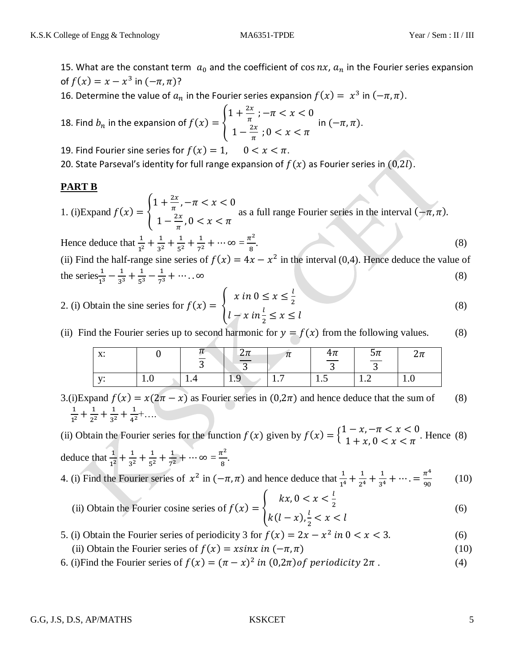15. What are the constant term  $a_0$  and the coefficient of cos  $nx$ ,  $a_n$  in the Fourier series expansion of  $f(x) = x - x^3$  in  $(-\pi, \pi)$ ?

16. Determine the value of  $a_n$  in the Fourier series expansion  $f(x) = x^3$  in  $(-\pi, \pi)$ .

18. Find 
$$
b_n
$$
 in the expansion of  $f(x) = \begin{cases} 1 + \frac{2x}{\pi}; -\pi < x < 0 \\ 1 - \frac{2x}{\pi}; 0 < x < \pi \end{cases}$  in  $(-\pi, \pi)$ .

19. Find Fourier sine series for  $f(x) = 1$ ,  $0 < x < \pi$ .

20. State Parseval's identity for full range expansion of  $f(x)$  as Fourier series in  $(0,2l)$ .

### **PART B**

1. (i)Expand  $1 + \frac{2}{1}$  $\frac{2x}{\pi}$ ,  $1 - \frac{2}{x}$  $\frac{2x}{\pi}$ , as a full range Fourier series in the interval

Hence deduce that  $\frac{1}{1^2}$  $\mathbf{1}$  $3<sup>2</sup>$  $\mathbf{1}$  $5^2$  $\mathbf{1}$  $\frac{1}{7^2} + \cdots \infty = \frac{\pi^2}{8}$ 8 .  $\hspace{1.5cm} (8)$ 

(ii) Find the half-range sine series of  $f(x) = 4x - x^2$  in the interval (0,4). Hence deduce the value of the series $\frac{1}{1^3}$  $\mathbf{1}$  $3<sup>3</sup>$  $\mathbf{1}$  $5^3$  $\mathbf{1}$ (8)

2. (i) Obtain the sine series for 
$$
f(x) = \begin{cases} x \text{ in } 0 \le x \le \frac{l}{2} \\ l - x \text{ in } \frac{l}{2} \le x \le l \end{cases}
$$
 (8)

(ii) Find the Fourier series up to second harmonic for  $y = f(x)$  from the following values. (8)

| $\mathbf{v}$<br>Λ. |     | π<br>$\overline{a}$ | $2\pi$<br>$\sim$ | π                                     | $\frac{4\pi}{ }$<br>$\sim$ | $5\pi$<br>$\sqrt{2}$       | $\Omega_{\rm m}$<br>Zπ |
|--------------------|-----|---------------------|------------------|---------------------------------------|----------------------------|----------------------------|------------------------|
| T                  | 1.0 | ີ<br>1.4            | ັ<br>$1.9^\circ$ | $\overline{\phantom{0}}$<br><b>1.</b> | <b>1.J</b>                 | $\sim$<br>$\overline{1}$ . | 1.0                    |

3.(i)Expand  $f(x) = x(2\pi - x)$  as Fourier series in  $(0, 2\pi)$  and hence deduce that the sum of (8)  $\mathbf 1$  $1<sup>2</sup>$  $\mathbf{1}$  $2^2$  $\mathbf{1}$  $3<sup>2</sup>$  $\mathbf{1}$  $\frac{1}{4^2} + \ldots$ 

(ii) Obtain the Fourier series for the function  $f(x)$  given by  $f(x) = \begin{cases} 1 \end{cases}$  $1 + x, 0 < x < \pi$ . Hence (8) deduce that  $\frac{1}{1^2}$  $\mathbf{1}$  $3<sup>2</sup>$  $\mathbf{1}$  $5^2$  $\mathbf{1}$  $\frac{1}{7^2} + \cdots \infty = \frac{\pi^2}{8}$  $\frac{1}{8}$ .

4. (i) Find the Fourier series of  $x^2$  in  $(-\pi, \pi)$  and hence deduce that  $\frac{1}{1^4}$  $\mathbf 1$  $2<sup>4</sup>$  $\mathbf{1}$  $3<sup>4</sup>$  $\pi^4$ 9 (10)

- (ii) Obtain the Fourier cosine series of  $kx, 0 < x < \frac{l}{a}$  $\overline{\mathbf{c}}$  $k(l - x), \frac{l}{a}$  $rac{1}{2}$ (6)
- 5. (i) Obtain the Fourier series of periodicity 3 for  $f(x) = 2x x^2$  in  $0 < x < 3$ . (6)
	- (ii) Obtain the Fourier series of  $f(x) = x \sin x$  in  $(-\pi, \pi)$  (10)
- 6. (i) Find the Fourier series of  $f(x) = (\pi x)^2$  in  $(0, 2\pi)$  of periodicity  $2\pi$ . (4)

### G.G, J.S, D.S, AP/MATHS 5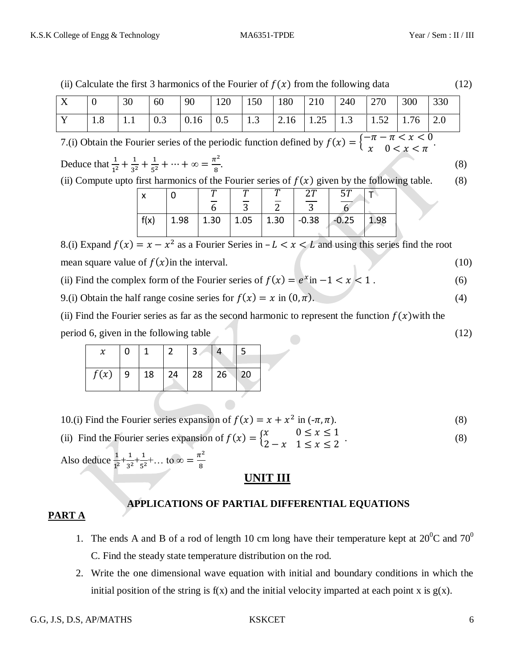| (ii) Calculate the first 3 harmonics of the Fourier of $f(x)$ from the following data |                                                                                                   |                           |           |      |                        |                        |                        | (12)                            |                                                                                                                                                                                                                                                      |      |      |     |            |
|---------------------------------------------------------------------------------------|---------------------------------------------------------------------------------------------------|---------------------------|-----------|------|------------------------|------------------------|------------------------|---------------------------------|------------------------------------------------------------------------------------------------------------------------------------------------------------------------------------------------------------------------------------------------------|------|------|-----|------------|
| X                                                                                     | $\theta$                                                                                          | 30                        | 60        | 90   | 120                    | 150                    | 180                    | 210                             | 240                                                                                                                                                                                                                                                  | 270  | 300  | 330 |            |
| Y                                                                                     | 1.8                                                                                               | 1.1                       | 0.3       | 0.16 | 0.5                    | 1.3                    | 2.16                   | 1.25                            | 1.3                                                                                                                                                                                                                                                  | 1.52 | 1.76 | 2.0 |            |
|                                                                                       | Deduce that $\frac{1}{1^2} + \frac{1}{3^2} + \frac{1}{5^2} + \cdots + \infty = \frac{\pi^2}{8}$ . |                           |           |      |                        |                        |                        |                                 | 7.(i) Obtain the Fourier series of the periodic function defined by $f(x) = \begin{cases} -\pi - \pi < x < 0 \\ x \neq 0 < x < \pi \end{cases}$ .<br>(ii) Compute upto first harmonics of the Fourier series of $f(x)$ given by the following table. |      |      |     | (8)<br>(8) |
|                                                                                       |                                                                                                   | $\boldsymbol{\mathsf{x}}$ | 0<br>f(x) | 1.98 | $\overline{6}$<br>1.30 | $\overline{3}$<br>1.05 | $\overline{2}$<br>1.30 | 27<br>$\overline{3}$<br>$-0.38$ | 57<br>$\overline{6}$<br>$-0.25$                                                                                                                                                                                                                      | 1.98 |      |     |            |
|                                                                                       |                                                                                                   |                           |           |      |                        |                        |                        |                                 | 8.(i) Expand $f(x) = x - x^2$ as a Fourier Series in $-L < x < L$ and using this series find the root                                                                                                                                                |      |      |     |            |

mean square value of  $f(x)$  in the interval. (10)

(ii) Find the complex form of the Fourier series of  $f(x) = e^x$  in  $-1 < x < 1$ . (6)

9.(i) Obtain the half range cosine series for  $f(x) = x$  in  $(0, \pi)$ . (4)

(ii) Find the Fourier series as far as the second harmonic to represent the function  $f(x)$  with the period 6, given in the following table (12) (12)

| f(x) | $\vert$ 9 | 18 24 | $\vert$ 28 $\vert$ 26 | 20 |
|------|-----------|-------|-----------------------|----|

10.(i) Find the Fourier series expansion of 
$$
f(x) = x + x^2
$$
 in  $(-\pi, \pi)$ . (8)

(ii) Find the Fourier series expansion of  $f(x) = \begin{cases} x \\ 2 \end{cases}$  $\overline{\mathbf{c}}$  $\hspace{1.6cm} . \hspace{1.6cm} (8)$ 

Also deduce  $\frac{1}{1^2} + \frac{1}{3^2}$  $\frac{1}{3^2} + \frac{1}{5^2}$  $\frac{1}{5^2} + ...$  to  $\infty = \frac{\pi^2}{8}$ 8

## **UNIT III**

### **PART A**

# **APPLICATIONS OF PARTIAL DIFFERENTIAL EQUATIONS**

- 1. The ends A and B of a rod of length 10 cm long have their temperature kept at  $20^0C$  and  $70^0$ C. Find the steady state temperature distribution on the rod.
- 2. Write the one dimensional wave equation with initial and boundary conditions in which the initial position of the string is  $f(x)$  and the initial velocity imparted at each point x is  $g(x)$ .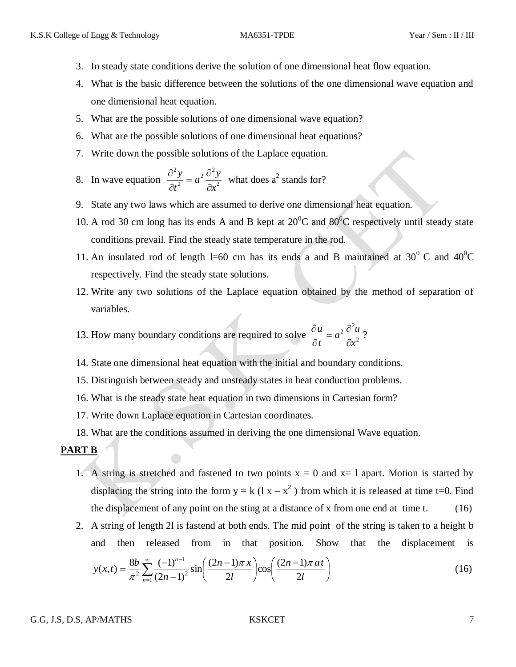- 3. In steady state conditions derive the solution of one dimensional heat flow equation.
- 4. What is the basic difference between the solutions of the one dimensional wave equation and one dimensional heat equation.
- 5. What are the possible solutions of one dimensional wave equation?
- 6. What are the possible solutions of one dimensional heat equations?
- 7. Write down the possible solutions of the Laplace equation.

8. In wave equation 
$$
\frac{\partial^2 y}{\partial t^2} = a^2 \frac{\partial^2 y}{\partial x^2}
$$
 what does a<sup>2</sup> stands for?

- 9. State any two laws which are assumed to derive one dimensional heat equation.
- 10. A rod 30 cm long has its ends A and B kept at  $20^{\circ}$ C and  $80^{\circ}$ C respectively until steady state conditions prevail. Find the steady state temperature in the rod.
- 11. An insulated rod of length l=60 cm has its ends a and B maintained at  $30^{\circ}$  C and  $40^{\circ}$ C respectively. Find the steady state solutions.
- 12. Write any two solutions of the Laplace equation obtained by the method of separation of variables.
- 13. How many boundary conditions are required to solve  $\frac{\partial u}{\partial t} = a^2 \frac{\partial u}{\partial x^2}$  $\sigma^2$ *x*  $a^2\frac{\partial^2 u}{\partial x^2}$ *t u*  $\partial$  $= a^2 \frac{\partial}{\partial x^2}$  $\partial$  $\frac{\partial u}{\partial t} = a^2 \frac{\partial^2 u}{\partial x^2}$ ?
- 14. State one dimensional heat equation with the initial and boundary conditions.
- 15. Distinguish between steady and unsteady states in heat conduction problems.
- 16. What is the steady state heat equation in two dimensions in Cartesian form?
- 17. Write down Laplace equation in Cartesian coordinates.
- 18. What are the conditions assumed in deriving the one dimensional Wave equation.

### **PART B**

- 1. A string is stretched and fastened to two points  $x = 0$  and  $x = 1$  apart. Motion is started by displacing the string into the form  $y = k(1x - x^2)$  from which it is released at time t=0. Find the displacement of any point on the sting at a distance of x from one end at time  $t$ . (16)
- 2. A string of length 2l is fastend at both ends. The mid point of the string is taken to a height b and then released from in that position. Show that the displacement is

$$
y(x,t) = \frac{8b}{\pi^2} \sum_{n=1}^{\infty} \frac{(-1)^{n-1}}{(2n-1)^2} \sin\left(\frac{(2n-1)\pi x}{2l}\right) \cos\left(\frac{(2n-1)\pi a t}{2l}\right)
$$
(16)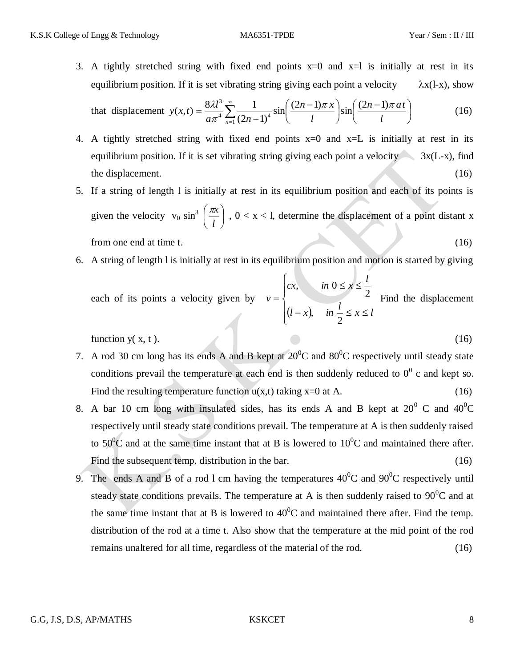3. A tightly stretched string with fixed end points  $x=0$  and  $x=1$  is initially at rest in its equilibrium position. If it is set vibrating string giving each point a velocity  $\lambda x(l-x)$ , show

that displacement 
$$
y(x,t) = \frac{8\lambda l^3}{a\pi^4} \sum_{n=1}^{\infty} \frac{1}{(2n-1)^4} \sin\left(\frac{(2n-1)\pi x}{l}\right) \sin\left(\frac{(2n-1)\pi a t}{l}\right)
$$
 (16)

- 4. A tightly stretched string with fixed end points  $x=0$  and  $x=L$  is initially at rest in its equilibrium position. If it is set vibrating string giving each point a velocity  $\sim$  3x(L-x), find the displacement. (16) (16)
- 5. If a string of length l is initially at rest in its equilibrium position and each of its points is given the velocity  $v_0 \sin^3 \left( \frac{\pi x}{l} \right)$ J  $\left(\frac{\pi x}{\cdot}\right)$  $\setminus$ ſ *l*  $\left(\frac{\pi x}{x}\right)$ ,  $0 < x < 1$ , determine the displacement of a point distant x from one end at time t. (16)
- 6. A string of length l is initially at rest in its equilibrium position and motion is started by giving

each of its points a velocity given by 
$$
v = \begin{cases} cx, & \text{in } 0 \le x \le \frac{l}{2} \\ (l-x), & \text{in } \frac{l}{2} \le x \le l \end{cases}
$$
 Find the displacement

function  $y(x, t)$ . (16)

- 7. A rod 30 cm long has its ends A and B kept at  $20^{\circ}$ C and  $80^{\circ}$ C respectively until steady state conditions prevail the temperature at each end is then suddenly reduced to  $0^0$  c and kept so. Find the resulting temperature function  $u(x,t)$  taking  $x=0$  at A. (16)
- 8. A bar 10 cm long with insulated sides, has its ends A and B kept at  $20^0$  C and  $40^0$ C respectively until steady state conditions prevail. The temperature at A is then suddenly raised to 50<sup>o</sup>C and at the same time instant that at B is lowered to  $10^{0}$ C and maintained there after. Find the subsequent temp. distribution in the bar. (16)
- 9. The ends A and B of a rod 1 cm having the temperatures  $40^{\circ}$ C and  $90^{\circ}$ C respectively until steady state conditions prevails. The temperature at A is then suddenly raised to  $90^{\circ}$ C and at the same time instant that at B is lowered to  $40^{\circ}$ C and maintained there after. Find the temp. distribution of the rod at a time t. Also show that the temperature at the mid point of the rod remains unaltered for all time, regardless of the material of the rod. (16)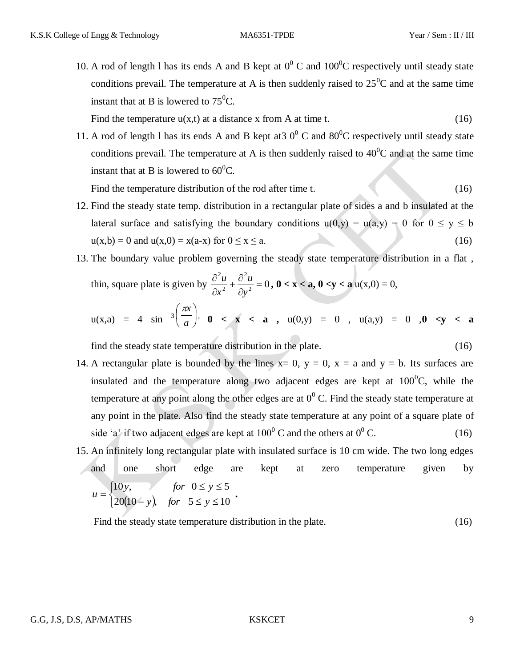10. A rod of length l has its ends A and B kept at  $0^0$  C and  $100^0$ C respectively until steady state conditions prevail. The temperature at A is then suddenly raised to  $25^{\circ}$ C and at the same time instant that at B is lowered to  $75^{\circ}$ C.

Find the temperature  $u(x,t)$  at a distance x from A at time t. (16)

11. A rod of length l has its ends A and B kept at  $30^{\circ}$ C and  $80^{\circ}$ C respectively until steady state conditions prevail. The temperature at A is then suddenly raised to  $40^{\circ}$ C and at the same time instant that at B is lowered to  $60^{\circ}$ C.

Find the temperature distribution of the rod after time t. (16)

- 12. Find the steady state temp. distribution in a rectangular plate of sides a and b insulated at the lateral surface and satisfying the boundary conditions  $u(0,y) = u(a,y) = 0$  for  $0 \le y \le b$  $u(x,b) = 0$  and  $u(x,0) = x(a-x)$  for  $0 \le x \le a$ . (16)
- 13. The boundary value problem governing the steady state temperature distribution in a flat , thin, square plate is given by  $\frac{\partial u}{\partial x^2} + \frac{\partial u}{\partial y^2} = 0$ 2 2 2  $=$  $\partial$  $+\frac{\partial}{\partial}$  $\partial$  $\partial$ *y u x*  $\frac{u}{\lambda} + \frac{\partial^2 u}{\lambda^2} = 0$ , **0** < **x** < **a**, **0** < **y** < **a** u(x,0) = 0,

$$
u(x,a) = 4 \sin^{-3}\left(\frac{\pi x}{a}\right), \quad 0 < x < a \quad , \quad u(0,y) = 0 \quad , \quad u(a,y) = 0 \quad , 0 < y < a
$$

find the steady state temperature distribution in the plate. (16)

- 14. A rectangular plate is bounded by the lines  $x= 0$ ,  $y = 0$ ,  $x = a$  and  $y = b$ . Its surfaces are insulated and the temperature along two adjacent edges are kept at  $100^{\circ}$ C, while the temperature at any point along the other edges are at  $0^0$  C. Find the steady state temperature at any point in the plate. Also find the steady state temperature at any point of a square plate of side 'a' if two adjacent edges are kept at  $100^{\circ}$  C and the others at  $0^{\circ}$  C. (16)
- 15. An infinitely long rectangular plate with insulated surface is 10 cm wide. The two long edges and one short edge are kept at zero temperature given by  $20(10 - y)$  $\left\lceil \cdot \right\rceil$  $(y)$ , for  $5 \le y \le$  $\leq$  y  $\leq$  $=$  $20(10 - y)$ , for  $5 \le y \le 10$ 10y, for  $0 \le y \le 5$ *y*), for  $5 \le y$ *y*, for  $0 \le y$  $u = \begin{cases} 1 & 0 \\ 0 & \text{otherwise} \end{cases}$

Find the steady state temperature distribution in the plate. (16)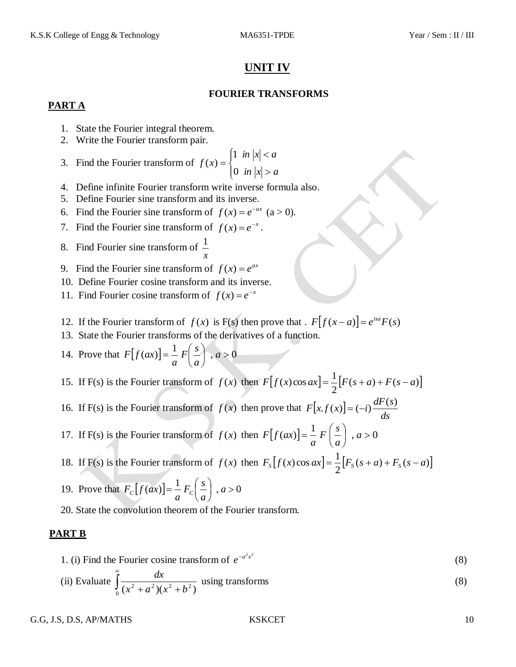# **UNIT IV**

### **FOURIER TRANSFORMS**

### **PART A**

- 1. State the Fourier integral theorem.
- 2. Write the Fourier transform pair.
- 3. Find the Fourier transform of  $\overline{\mathcal{L}}$  $\overline{ }$ ┤  $\left($  $>$  $\lt$  $=$  $in |x| > a$ *in*  $|x| < a$ *f x* 0 1  $(x)$
- 4. Define infinite Fourier transform write inverse formula also.
- 5. Define Fourier sine transform and its inverse.
- 6. Find the Fourier sine transform of  $f(x) = e^{-ax}$  (a > 0).
- 7. Find the Fourier sine transform of  $f(x) = e^{-x}$ .
- 8. Find Fourier sine transform of *x* 1
- 9. Find the Fourier sine transform of  $f(x) = e^{ax}$
- 10. Define Fourier cosine transform and its inverse.
- 11. Find Fourier cosine transform of  $f(x) = e^{-x}$
- 12. If the Fourier transform of  $f(x)$  is F(s) then prove that  $F[f(x-a)] = e^{isa}F(s)$
- 13. State the Fourier transforms of the derivatives of a function.
- 14. Prove that  $F[f(ax)] = \frac{1}{2} F\left(\frac{s}{2}\right)$ ,  $a > 0$  $\bigg)$  $\left(\frac{s}{s}\right)$  $\setminus$  $=\frac{1}{F}\left(\frac{s}{a}\right)$ , a *a*  $F\left(\frac{S}{\tau}\right)$ *a*  $F|f(ax)$
- 15. If F(s) is the Fourier transform of  $f(x)$  then  $F[f(x)\cos ax] = \frac{1}{2}[F(s+a)+F(s-a)]$ 2  $F[f(x)\cos ax] = \frac{1}{2}[F(s+a) + F(s-a)]$
- 16. If F(s) is the Fourier transform of  $f(x)$  then prove that  $F[x, f(x)]$ *ds*  $F[x.f(x)] = (-i) \frac{dF(s)}{dt}$
- 17. If F(s) is the Fourier transform of  $f(x)$  then  $F[f(ax)] = \frac{1}{\pi} F\left(\frac{s}{a}\right)$ ,  $a > 0$ J  $\left(\frac{s}{s}\right)$  $\setminus$  $=\frac{1}{a}F\left(\frac{s}{a}\right)$ , a *a*  $F\left(\frac{s}{2}\right)$ *a*  $F|f(ax)$
- 18. If F(s) is the Fourier transform of  $f(x)$  then  $F_s[f(x)\cos ax] = \frac{1}{2} [F_s(s+a) + F_s(s-a)]$ 2  $F_s[f(x)\cos ax] = \frac{1}{2}[F_s(s+a) + F_s(s-a)]$
- 19. Prove that  $F_c[f(ax)] = \frac{1}{2} F_c(\frac{s}{2})$ ,  $a > 0$ J  $\left(\frac{s}{s}\right)$ L  $=\frac{1}{c}F_c\left(\frac{s}{a}\right)$ , a *a*  $F_c\left(\frac{s}{s}\right)$  $F_c[f(ax)] = \frac{1}{a}F_c$
- 20. State the convolution theorem of the Fourier transform.

### **PART B**

1. (i) Find the Fourier cosine transform of  $e^{-a^2x^2}$ (8)

(ii) Evaluate 
$$
\int_{0}^{\infty} \frac{dx}{(x^2 + a^2)(x^2 + b^2)}
$$
 using transforms (8)

G.G, J.S, D.S, AP/MATHS KSKCET 10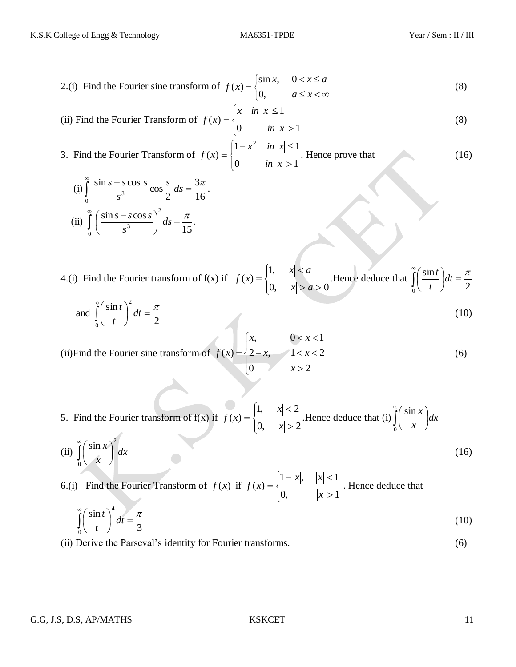2.(i) Find the Fourier sine transform of 
$$
f(x) = \begin{cases} \sin x, & 0 < x \le a \\ 0, & a \le x < \infty \end{cases}
$$
 (8)

(ii) Find the Fourier Transform of 
$$
f(x) = \begin{cases} x & \text{in } |x| \le 1 \\ 0 & \text{in } |x| > 1 \end{cases}
$$
 (8)

3. Find the Fourier Transform of 
$$
f(x) = \begin{cases} 1 - x^2 & \text{in } |x| \le 1 \\ 0 & \text{in } |x| > 1 \end{cases}
$$
. Hence prove that (16)

(i) 
$$
\int_{0}^{\infty} \frac{\sin s - s \cos s}{s^3} \cos \frac{s}{2} ds = \frac{3\pi}{16}.
$$
  
(ii) 
$$
\int_{0}^{\infty} \left( \frac{\sin s - s \cos s}{s^3} \right)^2 ds = \frac{\pi}{15}.
$$

4.(i) Find the Fourier transform of  $f(x)$  if  $\overline{\mathcal{L}}$  $\vert$ ₹  $\left\lceil \cdot \right\rceil$  $> a >$  $\prec$  $=$ 0,  $|x| > a > 0$ 1,  $(x)$  $x > a$  $|x|$  < a  $f(x) = \begin{cases} 1 & \text{if } x \neq 0 \\ 0 & \text{if } x = 0 \end{cases}$ . Hence deduce that  $\int$ ∞  $dt =$ J  $\left(\frac{\sin t}{\cos t}\right)$  $\setminus$ ſ  $\int_0^1(t)dt$  2  $\frac{\sin t}{t}$   $dt = \frac{\pi}{2}$ *t t*

and 
$$
\int_{0}^{\infty} \left(\frac{\sin t}{t}\right)^2 dt = \frac{\pi}{2}
$$
 (10)

(ii) Find the Fourier sine transform of 
$$
f(x) = \begin{cases} x, & 0 < x < 1 \\ 2 - x, & 1 < x < 2 \\ 0, & x > 2 \end{cases} \tag{6}
$$

5. Find the Fourier transform of f(x) if 
$$
f(x) = \begin{cases} 1, & |x| < 2 \\ 0, & |x| > 2 \end{cases}
$$
. Hence deduce that (i)  $\int_{0}^{\infty} \left( \frac{\sin x}{x} \right) dx$ 

(ii) 
$$
\int_{0}^{\infty} \left(\frac{\sin x}{x}\right)^2 dx
$$
 (16)

6.(i) Find the Fourier Transform of  $f(x)$  if  $\overline{\mathcal{L}}$  $\mathbf{I}$ ⇃  $\left\lceil \cdot \right\rceil$  $>$  $-|x|, |x|<$  $=$ 0,  $|x| > 1$  $1 - |x|, \quad |x| < 1$  $(x)$ *x*  $x$ ,  $x$  $f(x) = \begin{cases} 1 & x \neq 0 \\ 0 & x = 1 \end{cases}$  . Hence deduce that

$$
\int_{0}^{\infty} \left(\frac{\sin t}{t}\right)^{4} dt = \frac{\pi}{3}
$$
 (10)

(ii) Derive the Parseval's identity for Fourier transforms. (6)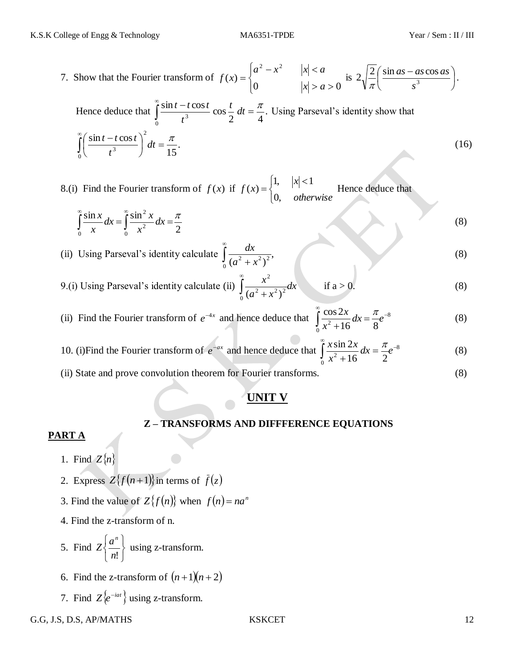7. Show that the Fourier transform of  $\overline{\mathcal{L}}$  $\mathbf{I}$ ⇃  $\left($  $> a >$  $-x^2$   $|x|$  $=$ 0  $|x| > a > 0$  $(x)$ 2  $\frac{2}{\pi^2}$  $|x| > a$  $a^2 - x^2$   $|x| < a$  $f(x) = \begin{cases} 0 & \text{if } x \neq 0 \end{cases}$  is  $2\sqrt{-1} \frac{\sin (x) - \sin (x) \cos (x)}{3}$ J  $\frac{\sin as - as \cos as}{3}$  $\setminus$  $\int$  sin as –  $2\sqrt{\frac{2}{\pi}}\left(\frac{\sin as - as \cos \theta}{\sin \theta}\right)$ *s as as as*  $\frac{2}{\pi} \left( \frac{\sin \alpha s - \alpha s \cos \alpha s}{s^3} \right).$ Hence deduce that  $\int_{0}^{3\pi i t} \frac{f \cos t}{t^2} \cos \frac{t}{2} dt = \frac{\pi}{4}.$ 2 4  $\frac{\sin t - t \cos t}{2} \cos$ 0 3  $\int_{1}^{\infty} \frac{\sin t - t \cos t}{t^3} \cos \frac{t}{2} dt = \frac{\pi}{4}$  $\int_{0}^{\infty} \frac{\sin t - t \cos t}{t^2} \cos \frac{t}{2} dt$ *t*  $\frac{t - t \cos t}{t^2} \cos \frac{t}{t} dt = \frac{\pi}{t^2}$ . Using Parseval's identity show that . 15  $\sin t - t \cos t$ <sup>2</sup> 0 3  $\int dt = \frac{\pi}{45}$ J  $\left(\frac{\sin t - t \cos t}{3}\right)$  $\setminus$  $\int_{0}^{\infty} \left( \frac{\sin t - t}{t} \right) dt$ ∞ *dt t*  $t - t \cos t$ (16)

8.(i) Find the Fourier transform of  $f(x)$  if  $\overline{\mathcal{L}}$ ⇃  $\begin{vmatrix} 1, & |x| \leq 1 \end{vmatrix}$  $=$ *otherwise x f x* 0, 1,  $|x| < 1$  $f(x) = \begin{cases}$ <sup>2</sup>,  $|x| & \text{Hence deduce that} \end{cases}$ 

$$
\int_{0}^{\infty} \frac{\sin x}{x} dx = \int_{0}^{\infty} \frac{\sin^{2} x}{x^{2}} dx = \frac{\pi}{2}
$$
 (8)

(ii) Using Parseval's identity calculate  $\frac{dx}{(x^2+y^2)^2}$ ,  $\int_0^1 \frac{ax}{(a^2 + x^2)^2}$ ∞  $a^2 + x$ *dx* (8) ∞ 2

9.(i) Using Parseval's identity calculate (ii)  $\int_{0}^{1} \frac{x}{(x^2-2x^2)} dx$  $a^2 + x$  $\int_{0}^{\infty} \frac{x}{\sqrt{a^2+1}}$  $\int_0^1 (a^2 + x^2)^2$  $(a^2 + x^2)$ if  $a > 0$ . (8)

(ii) Find the Fourier transform of  $e^{-4x}$  and hence deduce that  $\int_{0}^{1} \frac{\cos 2x}{\cos 2x} dx = \frac{\pi}{2}e^{-8}$ 0  $^{2}+16$   $\frac{12}{10}$  8  $\int_{0}^{\infty}$  cos 2x  $\int_{0}^{\infty}$   $\pi$  $\int \frac{\cos 2x}{x^2+16} dx =$  $\ddot{}$  $dx = -e^x$ *x*  $\overline{x}$   $\overline{y}$   $\overline{x}$ (8)

10. (i) Find the Fourier transform of  $e^{-ax}$  and hence deduce that  $\int_{0}^{1} \frac{x \sin 2x}{x^2} dx = \frac{\pi}{2}e^{-8}$ 0  $^{2}+16$   $\frac{400}{2}$  $\int_{0}^{\infty} x \sin 2x dx = \pi e^{-x}$  $\int \frac{x \sin 2x}{x^2 + 16} dx =$  $^{+}$  $dx = \frac{h}{e}e$ *x*  $x \sin 2x$ ,  $\pi$ (8)

(ii) State and prove convolution theorem for Fourier transforms. (8)

## **UNIT V**

### **Z – TRANSFORMS AND DIFFFERENCE EQUATIONS**

### **PART A**

- 1. Find  $Z\{n\}$
- 2. Express  $Z{f(n+1)}$  in terms of  $\bar{f}(z)$
- 3. Find the value of  $Z{f(n)}$  when  $f(n) = na^n$
- 4. Find the z-transform of n.
- 5. Find J  $\left\{ \right.$  $\mathbf{I}$  $\overline{\mathcal{L}}$ ⇃  $\left\lceil \right\rceil$ *n*!  $Z\left\{\frac{a}{2}\right\}$ *n* using z-transform.
- 6. Find the z-transform of  $(n+1)(n+2)$
- 7. Find  $Z \{e^{-iat}\}\$ using z-transform.
- G.G, J.S, D.S, AP/MATHS KSKCET 12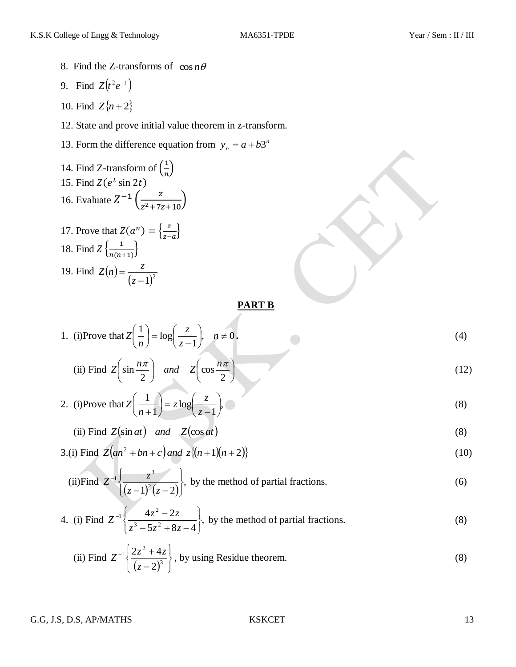- 8. Find the Z-transforms of  $\cos n\theta$
- 9. Find  $Z(t^2 e^{-t})$
- 10. Find  $Z\{n+2\}$
- 12. State and prove initial value theorem in z-transform.
- 13. Form the difference equation from  $y_n = a + b3^n$

14. Find Z-transform of 
$$
\left(\frac{1}{n}\right)
$$
  
\n15. Find  $Z(e^t \sin 2t)$   
\n16. Evaluate  $Z^{-1}\left(\frac{z}{z^2+7z+10}\right)$   
\n17. Prove that  $Z(a^n) = \left\{\frac{z}{z-a}\right\}$   
\n18. Find  $Z\left\{\frac{1}{n(n+1)}\right\}$ 

19. Find  $Z(n)$  $(z-1)^2$  $=$ *z*  $Z(n) = \frac{z}{a}$ 

### **PART B**

1. (i)Prove that 
$$
Z\left(\frac{1}{n}\right) = \log\left(\frac{z}{z-1}\right)
$$
,  $n \neq 0$ . (4)

(ii) Find 
$$
Z\left(\sin \frac{n\pi}{2}\right)
$$
 and  $Z\left(\cos \frac{n\pi}{2}\right)$  (12)

2. (i) Prove that 
$$
Z\left(\frac{1}{n+1}\right) = z \log\left(\frac{z}{z-1}\right)
$$
, (8)

(ii) Find 
$$
Z(\sin at)
$$
 and  $Z(\cos at)$  (8)

3.(i) Find 
$$
Z(an^2 + bn + c)
$$
 and  $z\{(n+1)(n+2)\}$  (10)

(ii) Find 
$$
Z^{-1}\left\{\frac{z^3}{(z-1)^2(z-2)}\right\}
$$
, by the method of partial fractions. (6)

4. (i) Find 
$$
Z^{-1}\left\{\frac{4z^2-2z}{z^3-5z^2+8z-4}\right\}
$$
, by the method of partial fractions. (8)

(ii) Find 
$$
Z^{-1}\left\{\frac{2z^2+4z}{(z-2)^3}\right\}
$$
, by using Residue theorem. (8)

G.G, J.S, D.S, AP/MATHS KSKCET 13